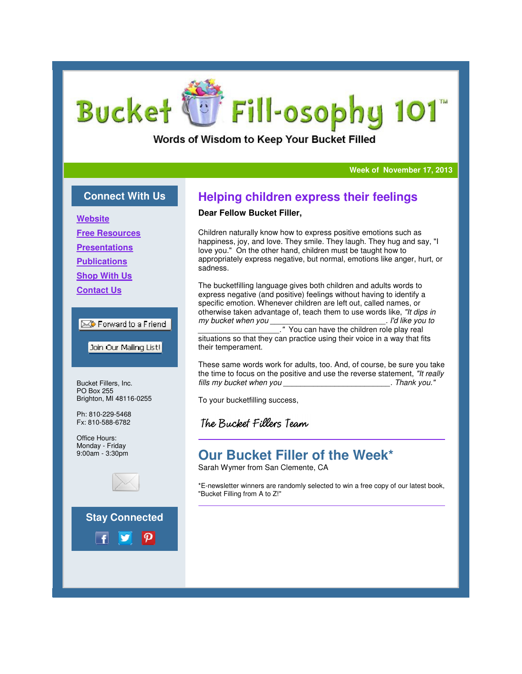# Fill-osophy 101 **Bucket**

Words of Wisdom to Keep Your Bucket Filled

#### **Week of November 17, 2013**

## **Connect With Us**

**Website**

**Free Resources**

**Presentations**

**Publications**

**Shop With Us**

**Contact Us**

### $\boxtimes$  Forward to a Friend

Join Our Mailing List!

Bucket Fillers, Inc. PO Box 255 Brighton, MI 48116-0255

Ph: 810-229-5468 Fx: 810-588-6782

Office Hours: Monday - Friday 9:00am - 3:30pm



## **Stay Connected**



## **Helping children express their feelings**

#### **Dear Fellow Bucket Filler,**

Children naturally know how to express positive emotions such as happiness, joy, and love. They smile. They laugh. They hug and say, "I love you." On the other hand, children must be taught how to appropriately express negative, but normal, emotions like anger, hurt, or sadness. ally know how to express positive emotions such, and love. They smile. They laugh. They hug are the other hand, children must be taught how to verses negative, but normal, emotions like ange anglanguage gives both children

The bucketfilling language gives both children and adults words to express negative (and positive) feelings without having to identify a specific emotion. Whenever children are left out, called names, or otherwise taken advantage of, teach them to use words like, "It dips in my bucket when you . I'd like vou to

\_\_\_\_\_\_\_\_\_\_\_\_\_\_\_\_\_\_\_." You can have the children role play real play real situations so that they can practice using their voice in a way that fits their temperament.

These same words work for adults, too. And, of course, be sure you take the time to focus on the positive and use the reverse statement, "It really fills my bucket when you . Thank vou."

To your bucketfilling success,

The Bucket Fillers Team

# **Our Bucket Filler of the Week\* of the**

Sarah Wymer from San Clemente, CA

\*E-newsletter winners are randomly selected to win a free copy of our latest book, newsletter winners "Bucket Filling from A to Z!"